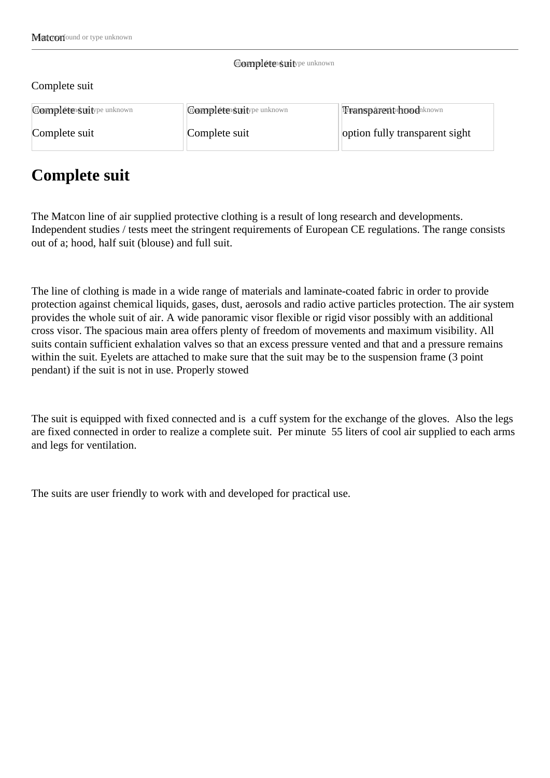## Gomplete suit ype unknown

## Complete suit

| <b>Complétersuitype unknown</b> | <b>Complétersuitype unknown</b> | Transparent hoodnknown         |
|---------------------------------|---------------------------------|--------------------------------|
| Complete suit                   | Complete suit                   | option fully transparent sight |

## **Complete suit**

The Matcon line of air supplied protective clothing is a result of long research and developments. Independent studies / tests meet the stringent requirements of European CE regulations. The range consists out of a; hood, half suit (blouse) and full suit.

The line of clothing is made in a wide range of materials and laminate-coated fabric in order to provide protection against chemical liquids, gases, dust, aerosols and radio active particles protection. The air system provides the whole suit of air. A wide panoramic visor flexible or rigid visor possibly with an additional cross visor. The spacious main area offers plenty of freedom of movements and maximum visibility. All suits contain sufficient exhalation valves so that an excess pressure vented and that and a pressure remains within the suit. Eyelets are attached to make sure that the suit may be to the suspension frame (3 point pendant) if the suit is not in use. Properly stowed

The suit is equipped with fixed connected and is a cuff system for the exchange of the gloves. Also the legs are fixed connected in order to realize a complete suit. Per minute 55 liters of cool air supplied to each arms and legs for ventilation.

The suits are user friendly to work with and developed for practical use.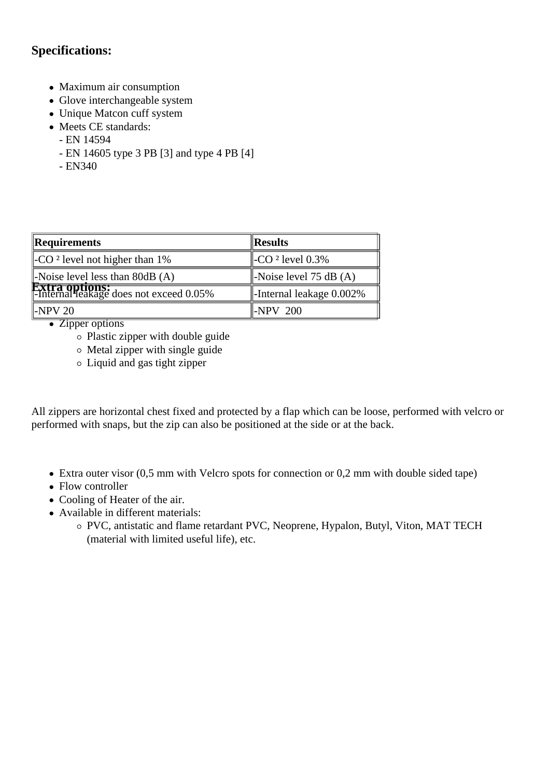## **Specifications:**

- Maximum air consumption
- Glove interchangeable system
- Unique Matcon cuff system
- Meets CE standards:
	- EN 14594
	- EN 14605 type 3 PB [3] and type 4 PB [4]
	- EN340

| Requirements                                                      | $\ $ Results                         |
|-------------------------------------------------------------------|--------------------------------------|
| $\vert$ -CO <sup>2</sup> level not higher than 1%                 | $\parallel$ -CO $2$ level 0.3%       |
| $\vert$ -Noise level less than 80dB (A)                           | $\parallel$ -Noise level 75 dB (A)   |
| <b>Extra options:</b><br> -Internal leakage does not exceed 0.05% | $\parallel$ -Internal leakage 0.002% |
| $\mathbb{H}\text{-}\mathrm{NPV}$ 20                               | $\parallel$ -NPV 200                 |

• Zipper options

- Plastic zipper with double guide
- $\circ$  Metal zipper with single guide
- Liquid and gas tight zipper

All zippers are horizontal chest fixed and protected by a flap which can be loose, performed with velcro or performed with snaps, but the zip can also be positioned at the side or at the back.

- Extra outer visor (0,5 mm with Velcro spots for connection or 0,2 mm with double sided tape)
- Flow controller
- Cooling of Heater of the air.
- Available in different materials:
	- PVC, antistatic and flame retardant PVC, Neoprene, Hypalon, Butyl, Viton, MAT TECH (material with limited useful life), etc.